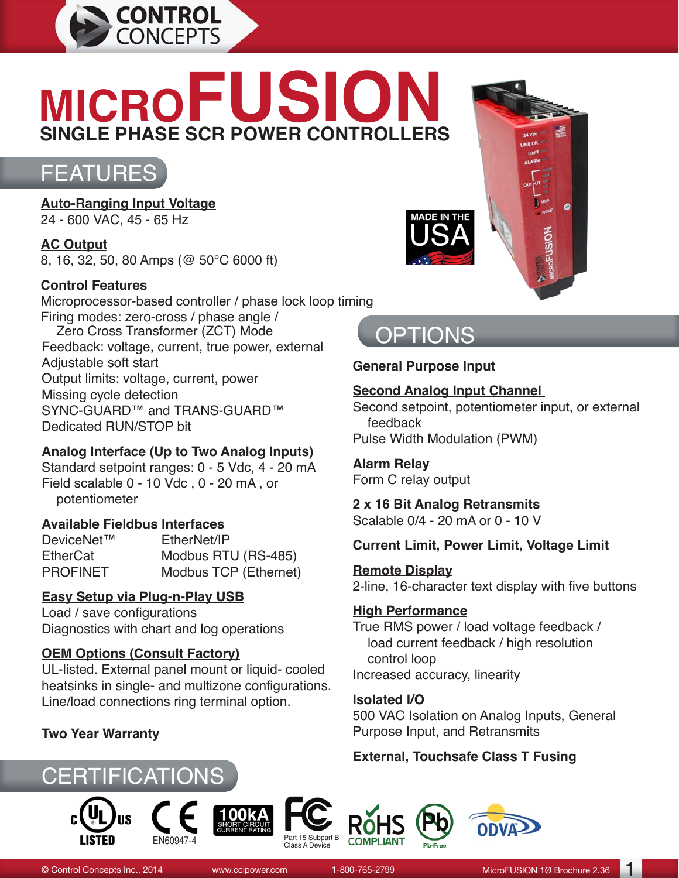

# **MICROFUSION SINGLE PHASE SCR POWER CONTROLLERS**



**Auto-Ranging Input Voltage** 24 - 600 VAC, 45 - 65 Hz

**AC Output** 8, 16, 32, 50, 80 Amps (@ 50°C 6000 ft)

#### **Control Features**

Microprocessor-based controller / phase lock loop timing Firing modes: zero-cross / phase angle /<br>Zero Cross Transformer (ZCT) Mode Zero Cross Transformer (ZCT) Mode<br>Feedback: voltage, current, true power, external Adjustable soft start Output limits: voltage, current, power Missing cycle detection SYNC-GUARD™ and TRANS-GUARD™ Dedicated RUN/STOP bit

#### **Analog Interface (Up to Two Analog Inputs)**

Standard setpoint ranges: 0 - 5 Vdc, 4 - 20 mA Field scalable 0 - 10 Vdc , 0 - 20 mA , or potentiometer

#### **Available Fieldbus Interfaces**

DeviceNet™ EtherNet/IP<br>EtherCat Modbus RT Modbus RTU (RS-485) PROFINET Modbus TCP (Ethernet)

#### **Easy Setup via Plug-n-Play USB**

Load / save configurations Diagnostics with chart and log operations

#### **OEM Options (Consult Factory)**

UL-listed. External panel mount or liquid- cooled heatsinks in single- and multizone configurations. Line/load connections ring terminal option.

#### **Two Year Warranty**

















#### **General Purpose Input**

#### **Second Analog Input Channel**

Second setpoint, potentiometer input, or external feedback

Pulse Width Modulation (PWM)

#### **Alarm Relay**

Form C relay output

#### **2 x 16 Bit Analog Retransmits**

Scalable 0/4 - 20 mA or 0 - 10 V

#### **Current Limit, Power Limit, Voltage Limit**

#### **Remote Display**

2-line, 16-character text display with five buttons

#### **High Performance**

True RMS power / load voltage feedback / load current feedback / high resolution control loop Increased accuracy, linearity

#### **Isolated I/O**

500 VAC Isolation on Analog Inputs, General Purpose Input, and Retransmits

#### **External, Touchsafe Class T Fusing**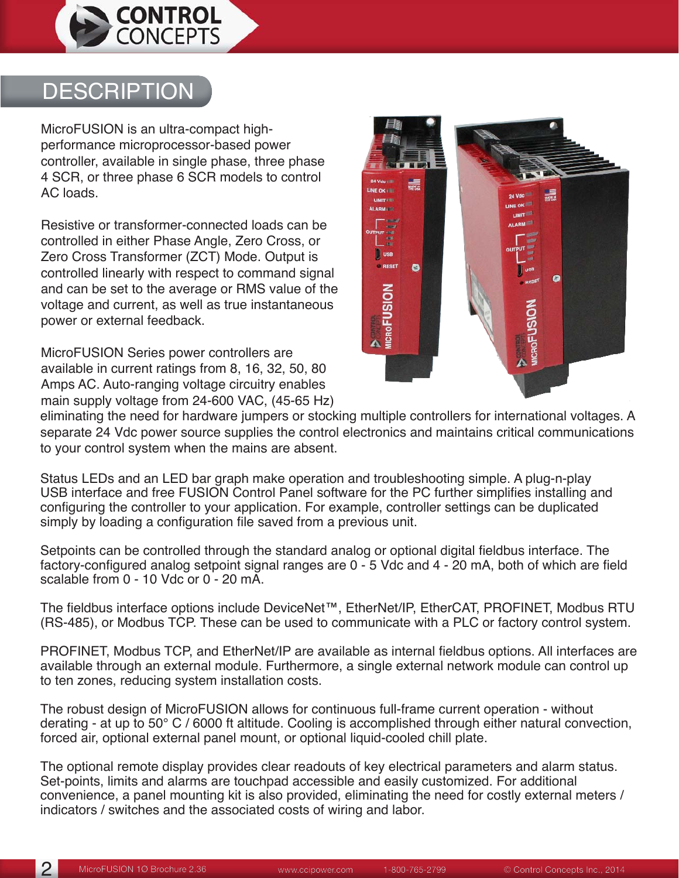

### **DESCRIPTION**

MicroFUSION is an ultra-compact highperformance microprocessor-based power controller, available in single phase, three phase 4 SCR, or three phase 6 SCR models to control AC loads.

Resistive or transformer-connected loads can be controlled in either Phase Angle, Zero Cross, or Zero Cross Transformer (ZCT) Mode. Output is controlled linearly with respect to command signal and can be set to the average or RMS value of the voltage and current, as well as true instantaneous power or external feedback.

MicroFUSION Series power controllers are available in current ratings from 8, 16, 32, 50, 80 Amps AC. Auto-ranging voltage circuitry enables main supply voltage from 24-600 VAC, (45-65 Hz)



eliminating the need for hardware jumpers or stocking multiple controllers for international voltages. A separate 24 Vdc power source supplies the control electronics and maintains critical communications to your control system when the mains are absent.

Status LEDs and an LED bar graph make operation and troubleshooting simple. A plug-n-play USB interface and free FUSION Control Panel software for the PC further simplifies installing and configuring the controller to your application. For example, controller settings can be duplicated simply by loading a configuration file saved from a previous unit.

Setpoints can be controlled through the standard analog or optional digital fieldbus interface. The factory-configured analog setpoint signal ranges are 0 - 5 Vdc and 4 - 20 mA, both of which are field scalable from 0 - 10 Vdc or 0 - 20 mA.

The fieldbus interface options include DeviceNet™, EtherNet/IP, EtherCAT, PROFINET, Modbus RTU (RS-485), or Modbus TCP. These can be used to communicate with a PLC or factory control system.

PROFINET, Modbus TCP, and EtherNet/IP are available as internal fieldbus options. All interfaces are available through an external module. Furthermore, a single external network module can control up to ten zones, reducing system installation costs.

The robust design of MicroFUSION allows for continuous full-frame current operation - without derating - at up to 50° C / 6000 ft altitude. Cooling is accomplished through either natural convection, forced air, optional external panel mount, or optional liquid-cooled chill plate.

The optional remote display provides clear readouts of key electrical parameters and alarm status. Set-points, limits and alarms are touchpad accessible and easily customized. For additional convenience, a panel mounting kit is also provided, eliminating the need for costly external meters / indicators / switches and the associated costs of wiring and labor.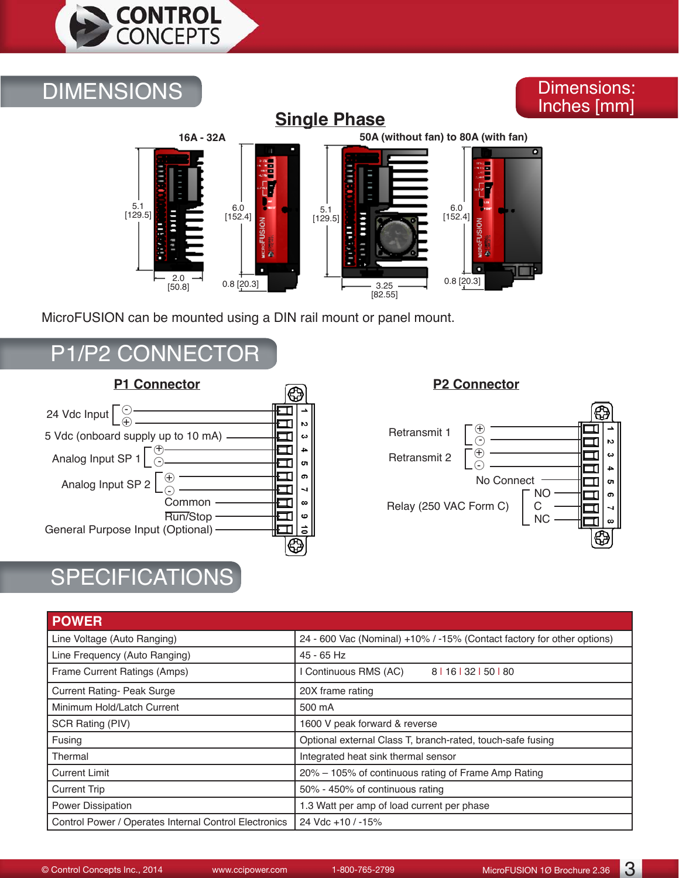

### **DIMENSIONS**

#### Dimensions: Inches [mm]

#### **Single Phase**



MicroFUSION can be mounted using a DIN rail mount or panel mount.

### P1/P2 CONNECTOR



### **SPECIFICATIONS**

#### $\overline{\mathbb{G}}$ Retransmit 1  $\begin{bmatrix} 0 \\ 0 \end{bmatrix}$  - Retransmit 2  $\int_{C}$  $\omega$ --------- LG  $\overline{\mathbf{4}}$  No Connect <sub>თ</sub> NO Ţ თ Relay (250 VAC Form C) C<br>NC IJ  $\overline{\phantom{0}}$ Ī.  $\infty$  NC €

| <b>POWER</b>                                          |                                                                        |
|-------------------------------------------------------|------------------------------------------------------------------------|
| Line Voltage (Auto Ranging)                           | 24 - 600 Vac (Nominal) +10% / -15% (Contact factory for other options) |
| Line Frequency (Auto Ranging)                         | 45 - 65 Hz                                                             |
| Frame Current Ratings (Amps)                          | Continuous RMS (AC)<br>8   16   32   50   80                           |
| <b>Current Rating- Peak Surge</b>                     | 20X frame rating                                                       |
| Minimum Hold/Latch Current                            | 500 mA                                                                 |
| SCR Rating (PIV)                                      | 1600 V peak forward & reverse                                          |
| Fusing                                                | Optional external Class T, branch-rated, touch-safe fusing             |
| Thermal                                               | Integrated heat sink thermal sensor                                    |
| <b>Current Limit</b>                                  | 20% – 105% of continuous rating of Frame Amp Rating                    |
| <b>Current Trip</b>                                   | 50% - 450% of continuous rating                                        |
| Power Dissipation                                     | 1.3 Watt per amp of load current per phase                             |
| Control Power / Operates Internal Control Electronics | 24 Vdc +10 / -15%                                                      |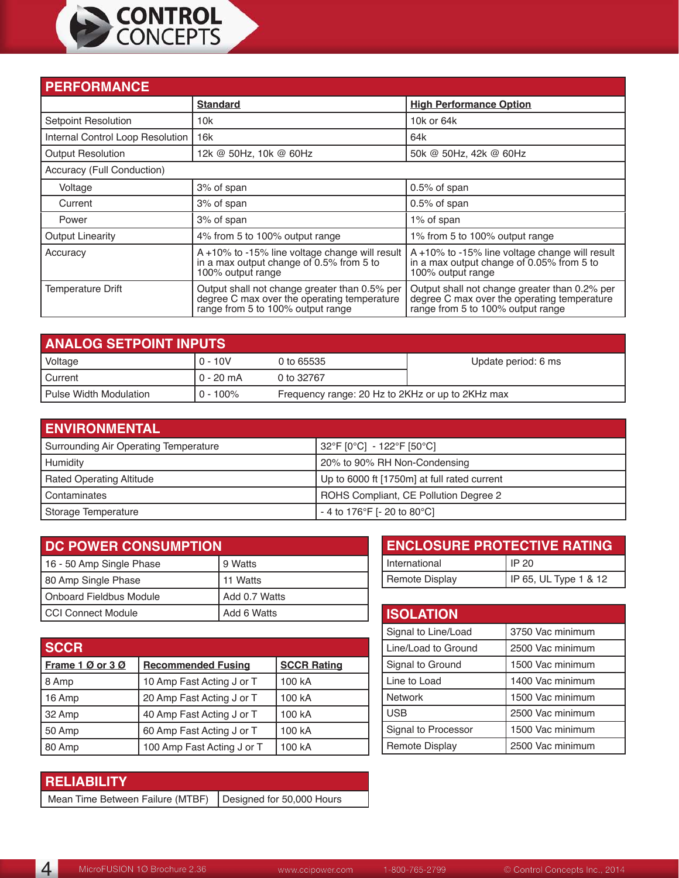

| <b>PERFORMANCE</b>               |                                                                                                                                   |                                                                                                                                   |
|----------------------------------|-----------------------------------------------------------------------------------------------------------------------------------|-----------------------------------------------------------------------------------------------------------------------------------|
|                                  | <b>Standard</b>                                                                                                                   | <b>High Performance Option</b>                                                                                                    |
| <b>Setpoint Resolution</b>       | 10k                                                                                                                               | 10k or 64k                                                                                                                        |
| Internal Control Loop Resolution | 16k                                                                                                                               | 64k                                                                                                                               |
| <b>Output Resolution</b>         | 12k @ 50Hz, 10k @ 60Hz                                                                                                            | 50k @ 50Hz, 42k @ 60Hz                                                                                                            |
| Accuracy (Full Conduction)       |                                                                                                                                   |                                                                                                                                   |
| Voltage                          | 3% of span                                                                                                                        | $0.5\%$ of span                                                                                                                   |
| Current                          | 3% of span                                                                                                                        | 0.5% of span                                                                                                                      |
| Power                            | 3% of span                                                                                                                        | 1% of span                                                                                                                        |
| <b>Output Linearity</b>          | 4% from 5 to 100% output range                                                                                                    | 1% from 5 to 100% output range                                                                                                    |
| Accuracy                         | A +10% to -15% line voltage change will result<br>in a max output change of 0.5% from 5 to<br>100% output range                   | A +10% to -15% line voltage change will result<br>in a max output change of 0.05% from 5 to<br>100% output range                  |
| <b>Temperature Drift</b>         | Output shall not change greater than 0.5% per<br>degree C max over the operating temperature<br>range from 5 to 100% output range | Output shall not change greater than 0.2% per<br>degree C max over the operating temperature<br>range from 5 to 100% output range |

| <b>ANALOG SETPOINT INPUTS</b> |             |                                                  |                     |  |
|-------------------------------|-------------|--------------------------------------------------|---------------------|--|
| Voltage                       | 0 - 10V     | 0 to 65535                                       | Update period: 6 ms |  |
| I Current                     | 0 - 20 mA   | 0 to 32767                                       |                     |  |
| I Pulse Width Modulation      | $0 - 100\%$ | Frequency range: 20 Hz to 2KHz or up to 2KHz max |                     |  |

| <b>ENVIRONMENTAL</b>                  |                                             |
|---------------------------------------|---------------------------------------------|
| Surrounding Air Operating Temperature | 32°F [0°C] - 122°F [50°C]                   |
| Humidity                              | 20% to 90% RH Non-Condensing                |
| <b>Rated Operating Altitude</b>       | Up to 6000 ft [1750m] at full rated current |
| Contaminates                          | ROHS Compliant, CE Pollution Degree 2       |
| Storage Temperature                   | - 4 to 176°F [- 20 to 80°C]                 |

| DC POWER CONSUMPTION     |               |  |
|--------------------------|---------------|--|
| 16 - 50 Amp Single Phase | 9 Watts       |  |
| 80 Amp Single Phase      | 11 Watts      |  |
| Onboard Fieldbus Module  | Add 0.7 Watts |  |
| I CCI Connect Module     | Add 6 Watts   |  |

| <b>SCCR</b>      |                            |                    |
|------------------|----------------------------|--------------------|
| Frame 1 Ø or 3 Ø | <b>Recommended Fusing</b>  | <b>SCCR Rating</b> |
| 8 Amp            | 10 Amp Fast Acting J or T  | 100 kA             |
| 16 Amp           | 20 Amp Fast Acting J or T  | 100 kA             |
| 32 Amp           | 40 Amp Fast Acting J or T  | 100 kA             |
| 50 Amp           | 60 Amp Fast Acting J or T  | 100 kA             |
| 80 Amp           | 100 Amp Fast Acting J or T | 100 kA             |

| <b>ENCLOSURE PROTECTIVE RATING</b> |                       |  |
|------------------------------------|-----------------------|--|
| International                      | IP 20                 |  |
| Remote Display                     | IP 65, UL Type 1 & 12 |  |

| <b>ISOLATION</b>      |                  |
|-----------------------|------------------|
| Signal to Line/Load   | 3750 Vac minimum |
| Line/Load to Ground   | 2500 Vac minimum |
| Signal to Ground      | 1500 Vac minimum |
| Line to Load          | 1400 Vac minimum |
| Network               | 1500 Vac minimum |
| <b>USB</b>            | 2500 Vac minimum |
| Signal to Processor   | 1500 Vac minimum |
| <b>Remote Display</b> | 2500 Vac minimum |

#### **RELIABILITY**

Mean Time Between Failure (MTBF) | Designed for 50,000 Hours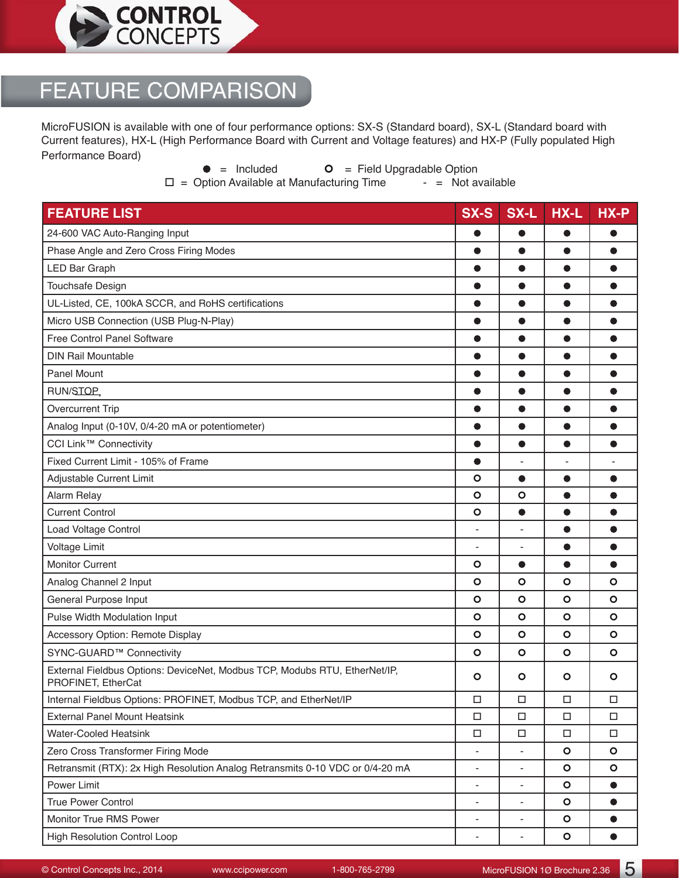

## FEATURE COMPARISON

MicroFUSION is available with one of four performance options: SX-S (Standard board), SX-L (Standard board with Current features), HX-L (High Performance Board with Current and Voltage features) and HX-P (Fully populated High Performance Board)

 $\bullet$  = Included  $\bullet$  = Field Upgradable Option<br>ption Available at Manufacturing Time  $\bullet$  = Not available  $\square$  = Option Available at Manufacturing Time

| <b>FEATURE LIST</b>                                                                              | <b>SX-S</b>              | SX-L                     | HX-L      | HX-P      |
|--------------------------------------------------------------------------------------------------|--------------------------|--------------------------|-----------|-----------|
| 24-600 VAC Auto-Ranging Input                                                                    | 0                        | O                        | ●         |           |
| Phase Angle and Zero Cross Firing Modes                                                          | $\bullet$                | $\bullet$                | $\bullet$ | $\bullet$ |
| <b>LED Bar Graph</b>                                                                             |                          | 0                        |           |           |
| <b>Touchsafe Design</b>                                                                          | $\bullet$                | $\bullet$                | $\bullet$ | ●         |
| UL-Listed, CE, 100kA SCCR, and RoHS certifications                                               | 0                        | $\bullet$                | $\bullet$ | ●         |
| Micro USB Connection (USB Plug-N-Play)                                                           | $\bullet$                | $\bullet$                |           |           |
| Free Control Panel Software                                                                      | $\bullet$                | $\bullet$                | ●         | ●         |
| <b>DIN Rail Mountable</b>                                                                        | $\bullet$                | $\bullet$                | $\bullet$ | $\bullet$ |
| <b>Panel Mount</b>                                                                               | $\bullet$                | $\bullet$                |           | $\bullet$ |
| RUN/STOP                                                                                         | $\bullet$                | $\bullet$                | ●         | ●         |
| <b>Overcurrent Trip</b>                                                                          | 0                        | 0                        |           |           |
| Analog Input (0-10V, 0/4-20 mA or potentiometer)                                                 | $\bullet$                | $\bullet$                |           | ●         |
| CCI Link™ Connectivity                                                                           | $\bullet$                | $\bullet$                | $\bullet$ | $\bullet$ |
| Fixed Current Limit - 105% of Frame                                                              |                          |                          |           |           |
| Adjustable Current Limit                                                                         | Ο                        | $\bullet$                | ●         | $\bullet$ |
| Alarm Relay                                                                                      | $\circ$                  | $\circ$                  | ●         | ●         |
| <b>Current Control</b>                                                                           | $\circ$                  | $\bullet$                | $\bullet$ | $\bullet$ |
| Load Voltage Control                                                                             | $\overline{\phantom{a}}$ | $\overline{\phantom{a}}$ | $\bullet$ | ●         |
| <b>Voltage Limit</b>                                                                             | ÷,                       | ÷                        |           | $\bullet$ |
| <b>Monitor Current</b>                                                                           | O                        | $\bullet$                | ●         | ●         |
| Analog Channel 2 Input                                                                           | $\circ$                  | $\circ$                  | $\circ$   | $\circ$   |
| General Purpose Input                                                                            | $\circ$                  | $\circ$                  | $\circ$   | $\circ$   |
| Pulse Width Modulation Input                                                                     | $\circ$                  | $\circ$                  | $\circ$   | $\circ$   |
| Accessory Option: Remote Display                                                                 | $\circ$                  | $\circ$                  | $\circ$   | $\circ$   |
| SYNC-GUARD™ Connectivity                                                                         | O                        | O                        | O         | $\circ$   |
| External Fieldbus Options: DeviceNet, Modbus TCP, Modubs RTU, EtherNet/IP,<br>PROFINET, EtherCat | O                        | O                        | O         | O         |
| Internal Fieldbus Options: PROFINET, Modbus TCP, and EtherNet/IP                                 | $\Box$                   | $\Box$                   | $\Box$    | $\Box$    |
| <b>External Panel Mount Heatsink</b>                                                             | □                        | $\Box$                   | $\Box$    | $\Box$    |
| <b>Water-Cooled Heatsink</b>                                                                     | $\Box$                   | $\Box$                   | $\Box$    | $\Box$    |
| Zero Cross Transformer Firing Mode                                                               |                          |                          | $\circ$   | $\circ$   |
| Retransmit (RTX): 2x High Resolution Analog Retransmits 0-10 VDC or 0/4-20 mA                    | $\overline{\phantom{a}}$ | $\overline{\phantom{a}}$ | $\circ$   | $\circ$   |
| Power Limit                                                                                      | $\overline{\phantom{a}}$ | $\overline{\phantom{0}}$ | $\circ$   | $\bullet$ |
| True Power Control                                                                               | $\overline{\phantom{a}}$ | $\overline{\phantom{a}}$ | $\bullet$ | $\bullet$ |
| Monitor True RMS Power                                                                           | ٠                        | $\overline{\phantom{0}}$ | $\circ$   | $\bullet$ |
| High Resolution Control Loop                                                                     | ÷                        | $\blacksquare$           | $\bullet$ | $\bullet$ |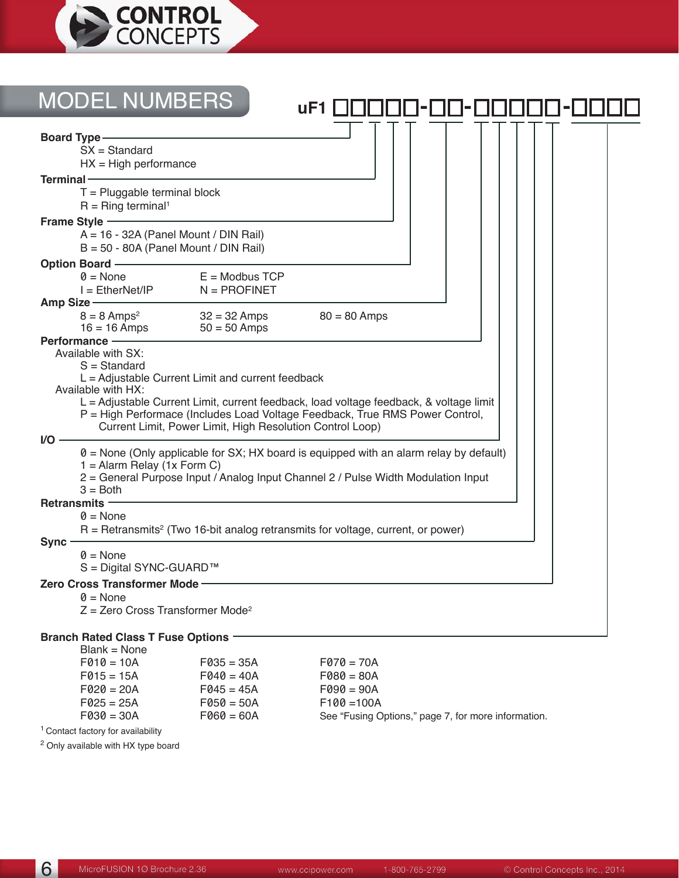

| <b>MODEL NUMBERS</b>                                                                                         | uF1            |
|--------------------------------------------------------------------------------------------------------------|----------------|
| <b>Board Type-</b>                                                                                           |                |
| $SX = Standard$                                                                                              |                |
| $HX = High$ performance<br>Terminal -                                                                        |                |
| $T =$ Pluggable terminal block<br>$R =$ Ring terminal <sup>1</sup>                                           |                |
| Frame Style ——                                                                                               |                |
| A = 16 - 32A (Panel Mount / DIN Rail)<br>$B = 50 - 80A$ (Panel Mount / DIN Rail)                             |                |
| Option Board ————                                                                                            |                |
| $0 = \text{None}$<br>$E =$ Modbus TCP                                                                        |                |
| $N = PROFINET$<br>$I = E$ therNet/IP<br>Amp Size —                                                           |                |
| $8 = 8$ Amps <sup>2</sup><br>$32 = 32$ Amps                                                                  | $80 = 80$ Amps |
| $16 = 16$ Amps<br>$50 = 50$ Amps                                                                             |                |
| Performance -<br>Available with SX:                                                                          |                |
| $S =$ Standard                                                                                               |                |
| $L =$ Adjustable Current Limit and current feedback                                                          |                |
| Available with HX:<br>L = Adjustable Current Limit, current feedback, load voltage feedback, & voltage limit |                |
| P = High Performace (Includes Load Voltage Feedback, True RMS Power Control,                                 |                |
| Current Limit, Power Limit, High Resolution Control Loop)                                                    |                |
| I/O -<br>$\theta$ = None (Only applicable for SX; HX board is equipped with an alarm relay by default)       |                |
| $1 =$ Alarm Relay (1x Form C)                                                                                |                |
| 2 = General Purpose Input / Analog Input Channel 2 / Pulse Width Modulation Input<br>$3 = Both$              |                |
| <b>Retransmits -</b>                                                                                         |                |
| $\theta$ = None                                                                                              |                |
| $R =$ Retransmits <sup>2</sup> (Two 16-bit analog retransmits for voltage, current, or power)                |                |
| Sync-<br>$\theta$ = None                                                                                     |                |
| S = Digital SYNC-GUARD™                                                                                      |                |
| Zero Cross Transformer Mode-                                                                                 |                |
| $\theta$ = None                                                                                              |                |
| $Z =$ Zero Cross Transformer Mode <sup>2</sup>                                                               |                |
| Branch Rated Class T Fuse Options -                                                                          |                |

#### Blank = None

| $F010 = 10A$ | $F035 = 35A$ | $F070 = 70A$                                        |
|--------------|--------------|-----------------------------------------------------|
| $F015 = 15A$ | $F040 = 40A$ | $F080 = 80A$                                        |
| $F020 = 20A$ | $F045 = 45A$ | $F090 = 90A$                                        |
| $F025 = 25A$ | $F050 = 50A$ | $F100 = 100A$                                       |
| $F030 = 30A$ | $F060 = 60A$ | See "Fusing Options," page 7, for more information. |
|              |              |                                                     |

<sup>1</sup> Contact factory for availability

2 Only available with HX type board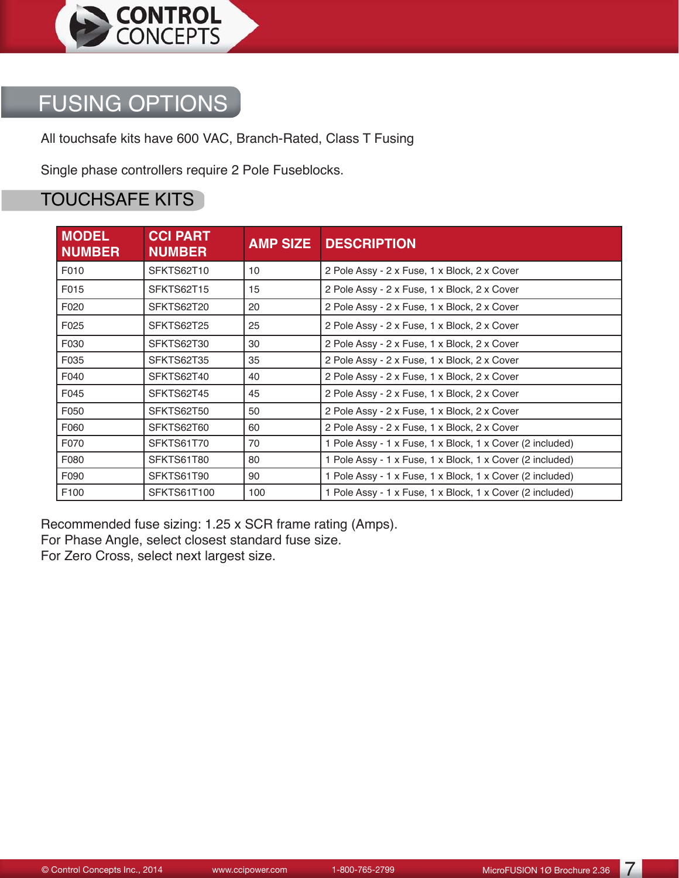

### FUSING OPTIONS

All touchsafe kits have 600 VAC, Branch-Rated, Class T Fusing

Single phase controllers require 2 Pole Fuseblocks.

#### TOUCHSAFE KITS

| <b>MODEL</b><br><b>NUMBER</b> | <b>CCI PART</b><br><b>NUMBER</b> | <b>AMP SIZE</b> | <b>DESCRIPTION</b>                                        |
|-------------------------------|----------------------------------|-----------------|-----------------------------------------------------------|
| F010                          | SFKTS62T10                       | 10              | 2 Pole Assy - 2 x Fuse, 1 x Block, 2 x Cover              |
| F015                          | SFKTS62T15                       | 15              | 2 Pole Assy - 2 x Fuse, 1 x Block, 2 x Cover              |
| F020                          | SFKTS62T20                       | 20              | 2 Pole Assy - 2 x Fuse, 1 x Block, 2 x Cover              |
| F025                          | SFKTS62T25                       | 25              | 2 Pole Assy - 2 x Fuse, 1 x Block, 2 x Cover              |
| F030                          | SFKTS62T30                       | 30              | 2 Pole Assy - 2 x Fuse, 1 x Block, 2 x Cover              |
| F035                          | SFKTS62T35                       | 35              | 2 Pole Assy - 2 x Fuse, 1 x Block, 2 x Cover              |
| F040                          | SFKTS62T40                       | 40              | 2 Pole Assy - 2 x Fuse, 1 x Block, 2 x Cover              |
| F045                          | SFKTS62T45                       | 45              | 2 Pole Assy - 2 x Fuse, 1 x Block, 2 x Cover              |
| F050                          | SFKTS62T50                       | 50              | 2 Pole Assy - 2 x Fuse, 1 x Block, 2 x Cover              |
| F060                          | SFKTS62T60                       | 60              | 2 Pole Assy - 2 x Fuse, 1 x Block, 2 x Cover              |
| F070                          | SFKTS61T70                       | 70              | 1 Pole Assy - 1 x Fuse, 1 x Block, 1 x Cover (2 included) |
| F080                          | SFKTS61T80                       | 80              | 1 Pole Assy - 1 x Fuse, 1 x Block, 1 x Cover (2 included) |
| F090                          | SFKTS61T90                       | 90              | 1 Pole Assy - 1 x Fuse, 1 x Block, 1 x Cover (2 included) |
| F100                          | SFKTS61T100                      | 100             | 1 Pole Assy - 1 x Fuse, 1 x Block, 1 x Cover (2 included) |

Recommended fuse sizing: 1.25 x SCR frame rating (Amps). For Phase Angle, select closest standard fuse size.

For Zero Cross, select next largest size.